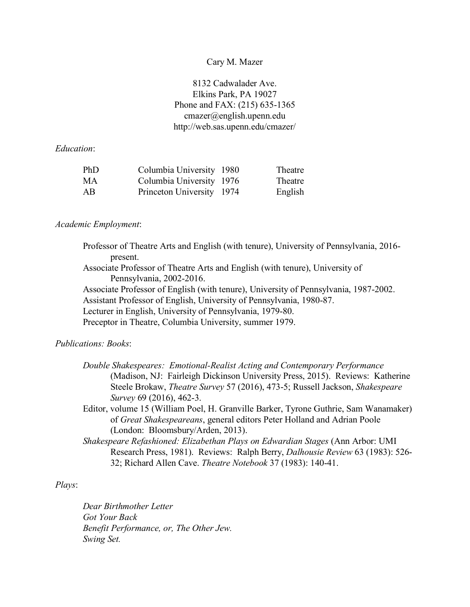#### Cary M. Mazer

8132 Cadwalader Ave. Elkins Park, PA 19027 Phone and FAX: (215) 635-1365 cmazer@english.upenn.edu http://web.sas.upenn.edu/cmazer/

#### *Education*:

| PhD | Columbia University 1980  | Theatre |
|-----|---------------------------|---------|
| MA  | Columbia University 1976  | Theatre |
| AB. | Princeton University 1974 | English |

#### *Academic Employment*:

Professor of Theatre Arts and English (with tenure), University of Pennsylvania, 2016 present. Associate Professor of Theatre Arts and English (with tenure), University of Pennsylvania, 2002-2016. Associate Professor of English (with tenure), University of Pennsylvania, 1987-2002. Assistant Professor of English, University of Pennsylvania, 1980-87. Lecturer in English, University of Pennsylvania, 1979-80. Preceptor in Theatre, Columbia University, summer 1979.

## *Publications: Books*:

|                          | Double Shakespeares: Emotional-Realist Acting and Contemporary Performance                 |
|--------------------------|--------------------------------------------------------------------------------------------|
|                          | (Madison, NJ: Fairleigh Dickinson University Press, 2015). Reviews: Katherine              |
|                          | Steele Brokaw, <i>Theatre Survey</i> 57 (2016), 473-5; Russell Jackson, <i>Shakespeare</i> |
| Survey 69 (2016), 462-3. |                                                                                            |

- Editor, volume 15 (William Poel, H. Granville Barker, Tyrone Guthrie, Sam Wanamaker) of *Great Shakespeareans*, general editors Peter Holland and Adrian Poole (London: Bloomsbury/Arden, 2013).
- *Shakespeare Refashioned: Elizabethan Plays on Edwardian Stages* (Ann Arbor: UMI Research Press, 1981). Reviews: Ralph Berry, *Dalhousie Review* 63 (1983): 526- 32; Richard Allen Cave. *Theatre Notebook* 37 (1983): 140-41.

### *Plays*:

*Dear Birthmother Letter Got Your Back Benefit Performance, or, The Other Jew. Swing Set.*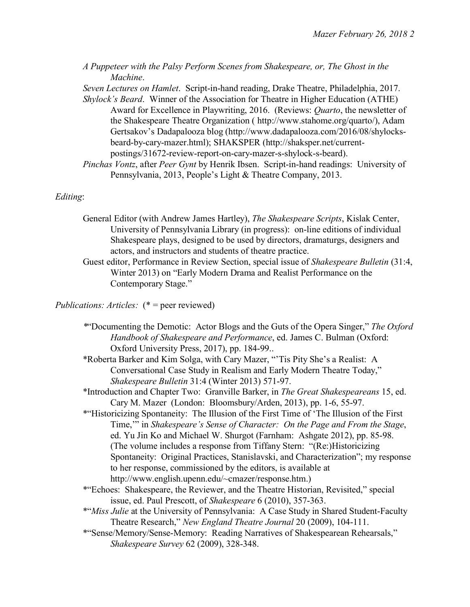*A Puppeteer with the Palsy Perform Scenes from Shakespeare, or, The Ghost in the Machine*.

*Seven Lectures on Hamlet*. Script-in-hand reading, Drake Theatre, Philadelphia, 2017.

- *Shylock's Beard*. Winner of the Association for Theatre in Higher Education (ATHE) Award for Excellence in Playwriting, 2016. (Reviews: *Quarto*, the newsletter of the Shakespeare Theatre Organization ( http://www.stahome.org/quarto/), Adam Gertsakov's Dadapalooza blog (http://www.dadapalooza.com/2016/08/shylocksbeard-by-cary-mazer.html); SHAKSPER (http://shaksper.net/currentpostings/31672-review-report-on-cary-mazer-s-shylock-s-beard).
- *Pinchas Vontz*, after *Peer Gynt* by Henrik Ibsen. Script-in-hand readings: University of Pennsylvania, 2013, People's Light & Theatre Company, 2013.

## *Editing*:

- General Editor (with Andrew James Hartley), *The Shakespeare Scripts*, Kislak Center, University of Pennsylvania Library (in progress): on-line editions of individual Shakespeare plays, designed to be used by directors, dramaturgs, designers and actors, and instructors and students of theatre practice.
- Guest editor, Performance in Review Section, special issue of *Shakespeare Bulletin* (31:4, Winter 2013) on "Early Modern Drama and Realist Performance on the Contemporary Stage."

# *Publications: Articles:* (\* = peer reviewed)

- *\**"Documenting the Demotic: Actor Blogs and the Guts of the Opera Singer," *The Oxford Handbook of Shakespeare and Performance*, ed. James C. Bulman (Oxford: Oxford University Press, 2017), pp. 184-99..
- \*Roberta Barker and Kim Solga, with Cary Mazer, "'Tis Pity She's a Realist: A Conversational Case Study in Realism and Early Modern Theatre Today," *Shakespeare Bulletin* 31:4 (Winter 2013) 571-97.
- \*Introduction and Chapter Two: Granville Barker, in *The Great Shakespeareans* 15, ed. Cary M. Mazer (London: Bloomsbury/Arden, 2013), pp. 1-6, 55-97.
- \*"Historicizing Spontaneity: The Illusion of the First Time of 'The Illusion of the First Time,'" in *Shakespeare's Sense of Character: On the Page and From the Stage*, ed. Yu Jin Ko and Michael W. Shurgot (Farnham: Ashgate 2012), pp. 85-98. (The volume includes a response from Tiffany Stern: "(Re:)Historicizing Spontaneity: Original Practices, Stanislavski, and Characterization"; my response to her response, commissioned by the editors, is available at http://www.english.upenn.edu/~cmazer/response.htm.)
- \*"Echoes: Shakespeare, the Reviewer, and the Theatre Historian, Revisited," special issue, ed. Paul Prescott, of *Shakespeare* 6 (2010), 357-363.
- \*"*Miss Julie* at the University of Pennsylvania: A Case Study in Shared Student-Faculty Theatre Research," *New England Theatre Journal* 20 (2009), 104-111.
- \*"Sense/Memory/Sense-Memory: Reading Narratives of Shakespearean Rehearsals," *Shakespeare Survey* 62 (2009), 328-348.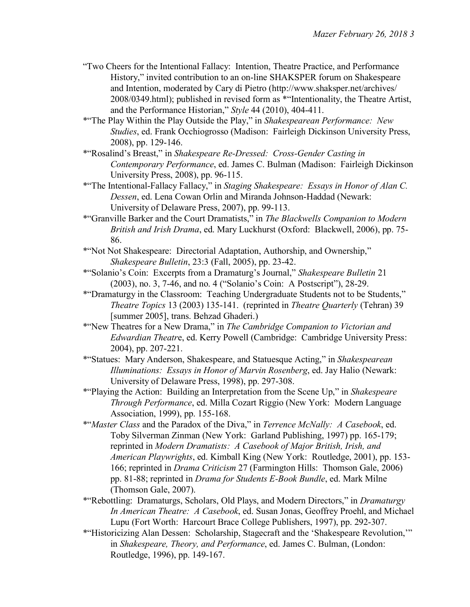- "Two Cheers for the Intentional Fallacy: Intention, Theatre Practice, and Performance History," invited contribution to an on-line SHAKSPER forum on Shakespeare and Intention, moderated by Cary di Pietro (http://www.shaksper.net/archives/ 2008/0349.html); published in revised form as \*"Intentionality, the Theatre Artist, and the Performance Historian," *Style* 44 (2010), 404-411.
- \*"The Play Within the Play Outside the Play," in *Shakespearean Performance: New Studies*, ed. Frank Occhiogrosso (Madison: Fairleigh Dickinson University Press, 2008), pp. 129-146.
- \*"Rosalind's Breast," in *Shakespeare Re-Dressed: Cross-Gender Casting in Contemporary Performance*, ed. James C. Bulman (Madison: Fairleigh Dickinson University Press, 2008), pp. 96-115.
- \*"The Intentional-Fallacy Fallacy," in *Staging Shakespeare: Essays in Honor of Alan C. Dessen*, ed. Lena Cowan Orlin and Miranda Johnson-Haddad (Newark: University of Delaware Press, 2007), pp. 99-113.
- \*"Granville Barker and the Court Dramatists," in *The Blackwells Companion to Modern British and Irish Drama*, ed. Mary Luckhurst (Oxford: Blackwell, 2006), pp. 75- 86.
- \*"Not Not Shakespeare: Directorial Adaptation, Authorship, and Ownership," *Shakespeare Bulletin*, 23:3 (Fall, 2005), pp. 23-42.
- \*"Solanio's Coin: Excerpts from a Dramaturg's Journal," *Shakespeare Bulletin* 21 (2003), no. 3, 7-46, and no. 4 ("Solanio's Coin: A Postscript"), 28-29.
- \*"Dramaturgy in the Classroom: Teaching Undergraduate Students not to be Students," *Theatre Topics* 13 (2003) 135-141. (reprinted in *Theatre Quarterly* (Tehran) 39 [summer 2005], trans. Behzad Ghaderi.)
- \*"New Theatres for a New Drama," in *The Cambridge Companion to Victorian and Edwardian Theatr*e, ed. Kerry Powell (Cambridge: Cambridge University Press: 2004), pp. 207-221.
- \*"Statues: Mary Anderson, Shakespeare, and Statuesque Acting," in *Shakespearean Illuminations: Essays in Honor of Marvin Rosenberg*, ed. Jay Halio (Newark: University of Delaware Press, 1998), pp. 297-308.
- \*"Playing the Action: Building an Interpretation from the Scene Up," in *Shakespeare Through Performance*, ed. Milla Cozart Riggio (New York: Modern Language Association, 1999), pp. 155-168.
- \*"*Master Class* and the Paradox of the Diva," in *Terrence McNally: A Casebook*, ed. Toby Silverman Zinman (New York: Garland Publishing, 1997) pp. 165-179; reprinted in *Modern Dramatists: A Casebook of Major British, Irish, and American Playwrights*, ed. Kimball King (New York: Routledge, 2001), pp. 153- 166; reprinted in *Drama Criticism* 27 (Farmington Hills: Thomson Gale, 2006) pp. 81-88; reprinted in *Drama for Students E-Book Bundle*, ed. Mark Milne (Thomson Gale, 2007).
- \*"Rebottling: Dramaturgs, Scholars, Old Plays, and Modern Directors," in *Dramaturgy In American Theatre: A Casebook*, ed. Susan Jonas, Geoffrey Proehl, and Michael Lupu (Fort Worth: Harcourt Brace College Publishers, 1997), pp. 292-307.
- \*"Historicizing Alan Dessen: Scholarship, Stagecraft and the 'Shakespeare Revolution,'" in *Shakespeare, Theory, and Performance*, ed. James C. Bulman, (London: Routledge, 1996), pp. 149-167.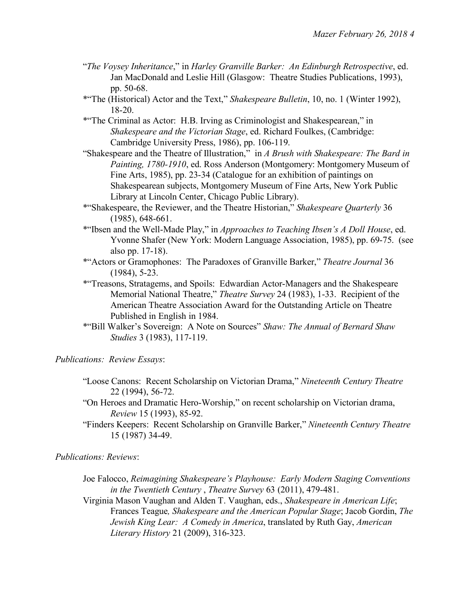- "*The Voysey Inheritance*," in *Harley Granville Barker: An Edinburgh Retrospective*, ed. Jan MacDonald and Leslie Hill (Glasgow: Theatre Studies Publications, 1993), pp. 50-68.
- \*"The (Historical) Actor and the Text," *Shakespeare Bulletin*, 10, no. 1 (Winter 1992), 18-20.
- \*"The Criminal as Actor: H.B. Irving as Criminologist and Shakespearean," in *Shakespeare and the Victorian Stage*, ed. Richard Foulkes, (Cambridge: Cambridge University Press, 1986), pp. 106-119.
- "Shakespeare and the Theatre of Illustration," in *A Brush with Shakespeare: The Bard in Painting, 1780-1910*, ed. Ross Anderson (Montgomery: Montgomery Museum of Fine Arts, 1985), pp. 23-34 (Catalogue for an exhibition of paintings on Shakespearean subjects, Montgomery Museum of Fine Arts, New York Public Library at Lincoln Center, Chicago Public Library).
- \*"Shakespeare, the Reviewer, and the Theatre Historian," *Shakespeare Quarterly* 36 (1985), 648-661.
- \*"Ibsen and the Well-Made Play," in *Approaches to Teaching Ibsen's A Doll House*, ed. Yvonne Shafer (New York: Modern Language Association, 1985), pp. 69-75. (see also pp. 17-18).
- \*"Actors or Gramophones: The Paradoxes of Granville Barker," *Theatre Journal* 36 (1984), 5-23.
- \*"Treasons, Stratagems, and Spoils: Edwardian Actor-Managers and the Shakespeare Memorial National Theatre," *Theatre Survey* 24 (1983), 1-33. Recipient of the American Theatre Association Award for the Outstanding Article on Theatre Published in English in 1984.
- \*"Bill Walker's Sovereign: A Note on Sources" *Shaw: The Annual of Bernard Shaw Studies* 3 (1983), 117-119.

*Publications: Review Essays*:

- "Loose Canons: Recent Scholarship on Victorian Drama," *Nineteenth Century Theatre* 22 (1994), 56-72.
- "On Heroes and Dramatic Hero-Worship," on recent scholarship on Victorian drama, *Review* 15 (1993), 85-92.
- "Finders Keepers: Recent Scholarship on Granville Barker," *Nineteenth Century Theatre* 15 (1987) 34-49.

*Publications: Reviews*:

- Joe Falocco, *Reimagining Shakespeare's Playhouse: Early Modern Staging Conventions in the Twentieth Century* , *Theatre Survey* 63 (2011), 479-481.
- Virginia Mason Vaughan and Alden T. Vaughan, eds., *Shakespeare in American Life*; Frances Teague*, Shakespeare and the American Popular Stage*; Jacob Gordin, *The Jewish King Lear: A Comedy in America*, translated by Ruth Gay, *American Literary History* 21 (2009), 316-323.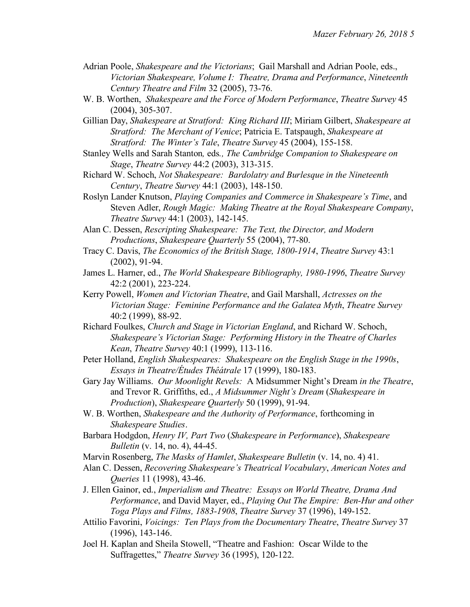- Adrian Poole, *Shakespeare and the Victorians*; Gail Marshall and Adrian Poole, eds., *Victorian Shakespeare, Volume I: Theatre, Drama and Performance*, *Nineteenth Century Theatre and Film* 32 (2005), 73-76.
- W. B. Worthen, *Shakespeare and the Force of Modern Performance*, *Theatre Survey* 45 (2004), 305-307.
- Gillian Day, *Shakespeare at Stratford: King Richard III*; Miriam Gilbert, *Shakespeare at Stratford: The Merchant of Venice*; Patricia E. Tatspaugh, *Shakespeare at Stratford: The Winter's Tale*, *Theatre Survey* 45 (2004), 155-158.
- Stanley Wells and Sarah Stanton*,* eds*., The Cambridge Companion to Shakespeare on Stage*, *Theatre Survey* 44:2 (2003), 313-315.
- Richard W. Schoch, *Not Shakespeare: Bardolatry and Burlesque in the Nineteenth Century*, *Theatre Survey* 44:1 (2003), 148-150.
- Roslyn Lander Knutson, *Playing Companies and Commerce in Shakespeare's Time*, and Steven Adler, *Rough Magic: Making Theatre at the Royal Shakespeare Company*, *Theatre Survey* 44:1 (2003), 142-145.
- Alan C. Dessen, *Rescripting Shakespeare: The Text, the Director, and Modern Productions*, *Shakespeare Quarterly* 55 (2004), 77-80.
- Tracy C. Davis, *The Economics of the British Stage, 1800-1914*, *Theatre Survey* 43:1 (2002), 91-94.
- James L. Harner, ed., *The World Shakespeare Bibliography, 1980-1996*, *Theatre Survey* 42:2 (2001), 223-224.
- Kerry Powell, *Women and Victorian Theatre*, and Gail Marshall, *Actresses on the Victorian Stage: Feminine Performance and the Galatea Myth*, *Theatre Survey* 40:2 (1999), 88-92.
- Richard Foulkes, *Church and Stage in Victorian England*, and Richard W. Schoch, *Shakespeare's Victorian Stage: Performing History in the Theatre of Charles Kean*, *Theatre Survey* 40:1 (1999), 113-116.
- Peter Holland, *English Shakespeares: Shakespeare on the English Stage in the 1990s*, *Essays in Theatre/Études Thêátrale* 17 (1999), 180-183.
- Gary Jay Williams. *Our Moonlight Revels:* A Midsummer Night's Dream *in the Theatre*, and Trevor R. Griffiths, ed., *A Midsummer Night's Dream* (*Shakespeare in Production*), *Shakespeare Quarterly* 50 (1999), 91-94.
- W. B. Worthen, *Shakespeare and the Authority of Performance*, forthcoming in *Shakespeare Studies*.
- Barbara Hodgdon, *Henry IV, Part Two* (*Shakespeare in Performance*), *Shakespeare Bulletin* (v. 14, no. 4), 44-45.
- Marvin Rosenberg, *The Masks of Hamlet*, *Shakespeare Bulletin* (v. 14, no. 4) 41.
- Alan C. Dessen, *Recovering Shakespeare's Theatrical Vocabulary*, *American Notes and Queries* 11 (1998), 43-46.
- J. Ellen Gainor, ed., *Imperialism and Theatre: Essays on World Theatre, Drama And Performance*, and David Mayer, ed., *Playing Out The Empire: Ben-Hur and other Toga Plays and Films, 1883-1908*, *Theatre Survey* 37 (1996), 149-152.
- Attilio Favorini, *Voicings: Ten Plays from the Documentary Theatre*, *Theatre Survey* 37 (1996), 143-146.
- Joel H. Kaplan and Sheila Stowell, "Theatre and Fashion: Oscar Wilde to the Suffragettes," *Theatre Survey* 36 (1995), 120-122.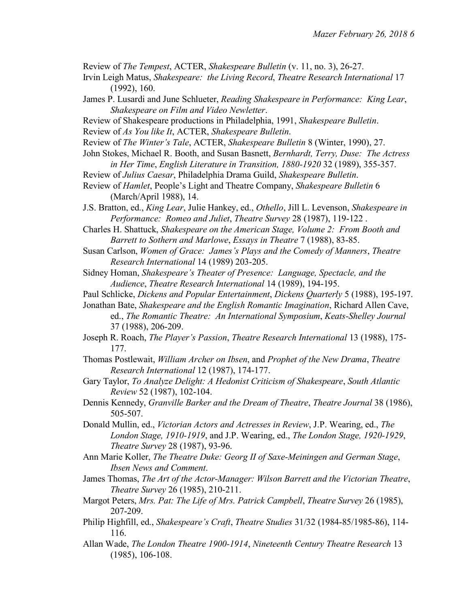Review of *The Tempest*, ACTER, *Shakespeare Bulletin* (v. 11, no. 3), 26-27.

- Irvin Leigh Matus, *Shakespeare: the Living Record*, *Theatre Research International* 17 (1992), 160.
- James P. Lusardi and June Schlueter, *Reading Shakespeare in Performance: King Lear*, *Shakespeare on Film and Video Newletter*.
- Review of Shakespeare productions in Philadelphia, 1991, *Shakespeare Bulletin*.

Review of *As You like It*, ACTER, *Shakespeare Bulletin*.

- Review of *The Winter's Tale*, ACTER, *Shakespeare Bulletin* 8 (Winter, 1990), 27.
- John Stokes, Michael R. Booth, and Susan Basnett, *Bernhardt, Terry, Duse: The Actress in Her Time*, *English Literature in Transition, 1880-1920* 32 (1989), 355-357.
- Review of *Julius Caesar*, Philadelphia Drama Guild, *Shakespeare Bulletin*.
- Review of *Hamlet*, People's Light and Theatre Company, *Shakespeare Bulletin* 6 (March/April 1988), 14.
- J.S. Bratton, ed., *King Lear*, Julie Hankey, ed., *Othello*, Jill L. Levenson, *Shakespeare in Performance: Romeo and Juliet*, *Theatre Survey* 28 (1987), 119-122 .
- Charles H. Shattuck, *Shakespeare on the American Stage, Volume 2: From Booth and Barrett to Sothern and Marlowe*, *Essays in Theatre* 7 (1988), 83-85.
- Susan Carlson, *Women of Grace: James's Plays and the Comedy of Manners*, *Theatre Research International* 14 (1989) 203-205.
- Sidney Homan, *Shakespeare's Theater of Presence: Language, Spectacle, and the Audience*, *Theatre Research International* 14 (1989), 194-195.
- Paul Schlicke, *Dickens and Popular Entertainment*, *Dickens Quarterly* 5 (1988), 195-197.
- Jonathan Bate, *Shakespeare and the English Romantic Imagination*, Richard Allen Cave, ed., *The Romantic Theatre: An International Symposium*, *Keats-Shelley Journal* 37 (1988), 206-209.
- Joseph R. Roach, *The Player's Passion*, *Theatre Research International* 13 (1988), 175- 177.
- Thomas Postlewait, *William Archer on Ibsen*, and *Prophet of the New Drama*, *Theatre Research International* 12 (1987), 174-177.
- Gary Taylor, *To Analyze Delight: A Hedonist Criticism of Shakespeare*, *South Atlantic Review* 52 (1987), 102-104.
- Dennis Kennedy, *Granville Barker and the Dream of Theatre*, *Theatre Journal* 38 (1986), 505-507.
- Donald Mullin, ed., *Victorian Actors and Actresses in Review*, J.P. Wearing, ed., *The London Stage, 1910-1919*, and J.P. Wearing, ed., *The London Stage, 1920-1929*, *Theatre Survey* 28 (1987), 93-96.
- Ann Marie Koller, *The Theatre Duke: Georg II of Saxe-Meiningen and German Stage*, *Ibsen News and Comment*.
- James Thomas, *The Art of the Actor-Manager: Wilson Barrett and the Victorian Theatre*, *Theatre Survey* 26 (1985), 210-211.
- Margot Peters, *Mrs. Pat: The Life of Mrs. Patrick Campbell*, *Theatre Survey* 26 (1985), 207-209.
- Philip Highfill, ed., *Shakespeare's Craft*, *Theatre Studies* 31/32 (1984-85/1985-86), 114- 116.
- Allan Wade, *The London Theatre 1900-1914*, *Nineteenth Century Theatre Research* 13 (1985), 106-108.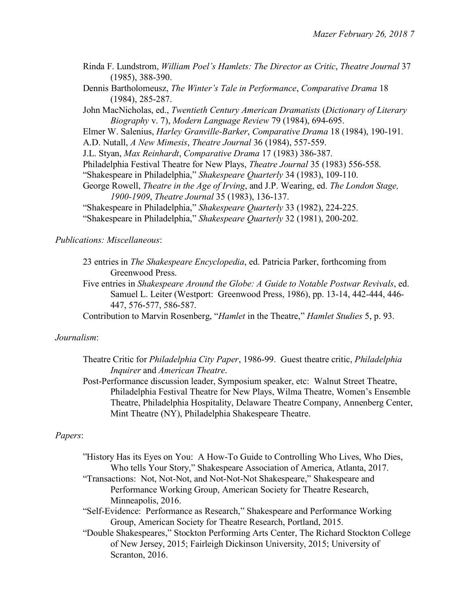- Rinda F. Lundstrom, *William Poel's Hamlets: The Director as Critic*, *Theatre Journal* 37 (1985), 388-390.
- Dennis Bartholomeusz, *The Winter's Tale in Performance*, *Comparative Drama* 18 (1984), 285-287.
- John MacNicholas, ed., *Twentieth Century American Dramatists* (*Dictionary of Literary Biography* v. 7), *Modern Language Review* 79 (1984), 694-695.
- Elmer W. Salenius, *Harley Granville-Barker*, *Comparative Drama* 18 (1984), 190-191.
- A.D. Nutall, *A New Mimesis*, *Theatre Journal* 36 (1984), 557-559.
- J.L. Styan, *Max Reinhardt*, *Comparative Drama* 17 (1983) 386-387.
- Philadelphia Festival Theatre for New Plays, *Theatre Journal* 35 (1983) 556-558.
- "Shakespeare in Philadelphia," *Shakespeare Quarterly* 34 (1983), 109-110.
- George Rowell, *Theatre in the Age of Irving*, and J.P. Wearing, ed. *The London Stage, 1900-1909*, *Theatre Journal* 35 (1983), 136-137.
- "Shakespeare in Philadelphia," *Shakespeare Quarterly* 33 (1982), 224-225.
- "Shakespeare in Philadelphia," *Shakespeare Quarterly* 32 (1981), 200-202.

#### *Publications: Miscellaneous*:

- 23 entries in *The Shakespeare Encyclopedia*, ed. Patricia Parker, forthcoming from Greenwood Press.
- Five entries in *Shakespeare Around the Globe: A Guide to Notable Postwar Revivals*, ed. Samuel L. Leiter (Westport: Greenwood Press, 1986), pp. 13-14, 442-444, 446- 447, 576-577, 586-587.
- Contribution to Marvin Rosenberg, "*Hamlet* in the Theatre," *Hamlet Studies* 5, p. 93.

#### *Journalism*:

- Theatre Critic for *Philadelphia City Paper*, 1986-99. Guest theatre critic, *Philadelphia Inquirer* and *American Theatre*.
- Post-Performance discussion leader, Symposium speaker, etc: Walnut Street Theatre, Philadelphia Festival Theatre for New Plays, Wilma Theatre, Women's Ensemble Theatre, Philadelphia Hospitality, Delaware Theatre Company, Annenberg Center, Mint Theatre (NY), Philadelphia Shakespeare Theatre.

#### *Papers*:

- "History Has its Eyes on You: A How-To Guide to Controlling Who Lives, Who Dies, Who tells Your Story," Shakespeare Association of America, Atlanta, 2017.
- "Transactions: Not, Not-Not, and Not-Not-Not Shakespeare," Shakespeare and Performance Working Group, American Society for Theatre Research, Minneapolis, 2016.
- "Self-Evidence: Performance as Research," Shakespeare and Performance Working Group, American Society for Theatre Research, Portland, 2015.
- "Double Shakespeares," Stockton Performing Arts Center, The Richard Stockton College of New Jersey, 2015; Fairleigh Dickinson University, 2015; University of Scranton, 2016.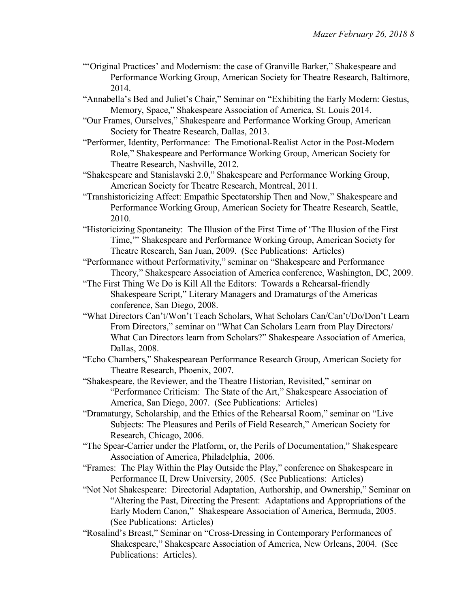- "'Original Practices' and Modernism: the case of Granville Barker," Shakespeare and Performance Working Group, American Society for Theatre Research, Baltimore, 2014.
- "Annabella's Bed and Juliet's Chair," Seminar on "Exhibiting the Early Modern: Gestus, Memory, Space," Shakespeare Association of America, St. Louis 2014.
- "Our Frames, Ourselves," Shakespeare and Performance Working Group, American Society for Theatre Research, Dallas, 2013.
- "Performer, Identity, Performance: The Emotional-Realist Actor in the Post-Modern Role," Shakespeare and Performance Working Group, American Society for Theatre Research, Nashville, 2012.
- "Shakespeare and Stanislavski 2.0," Shakespeare and Performance Working Group, American Society for Theatre Research, Montreal, 2011.
- "Transhistoricizing Affect: Empathic Spectatorship Then and Now," Shakespeare and Performance Working Group, American Society for Theatre Research, Seattle, 2010.
- "Historicizing Spontaneity: The Illusion of the First Time of 'The Illusion of the First Time,'" Shakespeare and Performance Working Group, American Society for Theatre Research, San Juan, 2009. (See Publications: Articles)
- "Performance without Performativity," seminar on "Shakespeare and Performance Theory," Shakespeare Association of America conference, Washington, DC, 2009.
- "The First Thing We Do is Kill All the Editors: Towards a Rehearsal-friendly Shakespeare Script," Literary Managers and Dramaturgs of the Americas conference, San Diego, 2008.
- "What Directors Can't/Won't Teach Scholars, What Scholars Can/Can't/Do/Don't Learn From Directors," seminar on "What Can Scholars Learn from Play Directors/ What Can Directors learn from Scholars?" Shakespeare Association of America, Dallas, 2008.
- "Echo Chambers," Shakespearean Performance Research Group, American Society for Theatre Research, Phoenix, 2007.
- "Shakespeare, the Reviewer, and the Theatre Historian, Revisited," seminar on "Performance Criticism: The State of the Art," Shakespeare Association of America, San Diego, 2007. (See Publications: Articles)
- "Dramaturgy, Scholarship, and the Ethics of the Rehearsal Room," seminar on "Live Subjects: The Pleasures and Perils of Field Research," American Society for Research, Chicago, 2006.
- "The Spear-Carrier under the Platform, or, the Perils of Documentation," Shakespeare Association of America, Philadelphia, 2006.
- "Frames: The Play Within the Play Outside the Play," conference on Shakespeare in Performance II, Drew University, 2005. (See Publications: Articles)
- "Not Not Shakespeare: Directorial Adaptation, Authorship, and Ownership," Seminar on "Altering the Past, Directing the Present: Adaptations and Appropriations of the Early Modern Canon," Shakespeare Association of America, Bermuda, 2005. (See Publications: Articles)
- "Rosalind's Breast," Seminar on "Cross-Dressing in Contemporary Performances of Shakespeare," Shakespeare Association of America, New Orleans, 2004. (See Publications: Articles).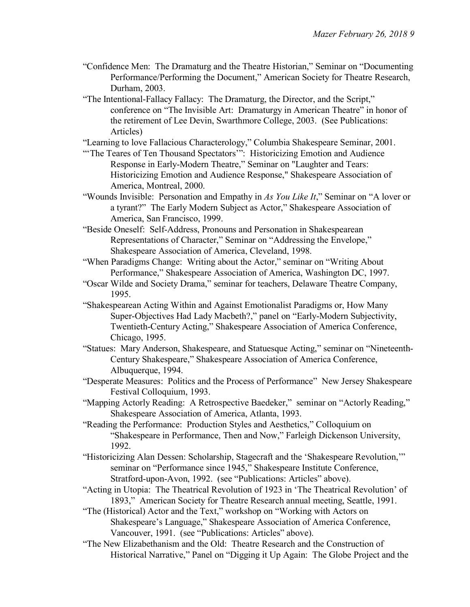- "Confidence Men: The Dramaturg and the Theatre Historian," Seminar on "Documenting Performance/Performing the Document," American Society for Theatre Research, Durham, 2003.
- "The Intentional-Fallacy Fallacy: The Dramaturg, the Director, and the Script," conference on "The Invisible Art: Dramaturgy in American Theatre" in honor of the retirement of Lee Devin, Swarthmore College, 2003. (See Publications: Articles)

"Learning to love Fallacious Characterology," Columbia Shakespeare Seminar, 2001.

- "The Teares of Ten Thousand Spectators": Historicizing Emotion and Audience Response in Early-Modern Theatre," Seminar on "Laughter and Tears: Historicizing Emotion and Audience Response," Shakespeare Association of America, Montreal, 2000.
- "Wounds Invisible: Personation and Empathy in *As You Like It*," Seminar on "A lover or a tyrant?" The Early Modern Subject as Actor," Shakespeare Association of America, San Francisco, 1999.
- "Beside Oneself: Self-Address, Pronouns and Personation in Shakespearean Representations of Character," Seminar on "Addressing the Envelope," Shakespeare Association of America, Cleveland, 1998.
- "When Paradigms Change: Writing about the Actor," seminar on "Writing About Performance," Shakespeare Association of America, Washington DC, 1997.
- "Oscar Wilde and Society Drama," seminar for teachers, Delaware Theatre Company, 1995.
- "Shakespearean Acting Within and Against Emotionalist Paradigms or, How Many Super-Objectives Had Lady Macbeth?," panel on "Early-Modern Subjectivity, Twentieth-Century Acting," Shakespeare Association of America Conference, Chicago, 1995.
- "Statues: Mary Anderson, Shakespeare, and Statuesque Acting," seminar on "Nineteenth-Century Shakespeare," Shakespeare Association of America Conference, Albuquerque, 1994.
- "Desperate Measures: Politics and the Process of Performance" New Jersey Shakespeare Festival Colloquium, 1993.
- "Mapping Actorly Reading: A Retrospective Baedeker," seminar on "Actorly Reading," Shakespeare Association of America, Atlanta, 1993.
- "Reading the Performance: Production Styles and Aesthetics," Colloquium on "Shakespeare in Performance, Then and Now," Farleigh Dickenson University, 1992.
- "Historicizing Alan Dessen: Scholarship, Stagecraft and the 'Shakespeare Revolution,'" seminar on "Performance since 1945," Shakespeare Institute Conference, Stratford-upon-Avon, 1992. (see "Publications: Articles" above).
- "Acting in Utopia: The Theatrical Revolution of 1923 in 'The Theatrical Revolution' of 1893," American Society for Theatre Research annual meeting, Seattle, 1991.
- "The (Historical) Actor and the Text," workshop on "Working with Actors on Shakespeare's Language," Shakespeare Association of America Conference, Vancouver, 1991. (see "Publications: Articles" above).
- "The New Elizabethanism and the Old: Theatre Research and the Construction of Historical Narrative," Panel on "Digging it Up Again: The Globe Project and the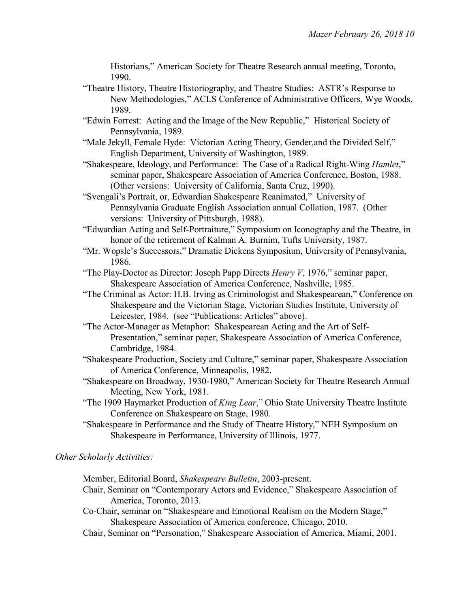Historians," American Society for Theatre Research annual meeting, Toronto, 1990.

- "Theatre History, Theatre Historiography, and Theatre Studies: ASTR's Response to New Methodologies," ACLS Conference of Administrative Officers, Wye Woods, 1989.
- "Edwin Forrest: Acting and the Image of the New Republic," Historical Society of Pennsylvania, 1989.
- "Male Jekyll, Female Hyde: Victorian Acting Theory, Gender,and the Divided Self," English Department, University of Washington, 1989.
- "Shakespeare, Ideology, and Performance: The Case of a Radical Right-Wing *Hamlet*," seminar paper, Shakespeare Association of America Conference, Boston, 1988. (Other versions: University of California, Santa Cruz, 1990).
- "Svengali's Portrait, or, Edwardian Shakespeare Reanimated," University of Pennsylvania Graduate English Association annual Collation, 1987. (Other versions: University of Pittsburgh, 1988).
- "Edwardian Acting and Self-Portraiture," Symposium on Iconography and the Theatre, in honor of the retirement of Kalman A. Burnim, Tufts University, 1987.
- "Mr. Wopsle's Successors," Dramatic Dickens Symposium, University of Pennsylvania, 1986.
- "The Play-Doctor as Director: Joseph Papp Directs *Henry V*, 1976," seminar paper, Shakespeare Association of America Conference, Nashville, 1985.
- "The Criminal as Actor: H.B. Irving as Criminologist and Shakespearean," Conference on Shakespeare and the Victorian Stage, Victorian Studies Institute, University of Leicester, 1984. (see "Publications: Articles" above).
- "The Actor-Manager as Metaphor: Shakespearean Acting and the Art of Self-Presentation," seminar paper, Shakespeare Association of America Conference, Cambridge, 1984.
- "Shakespeare Production, Society and Culture," seminar paper, Shakespeare Association of America Conference, Minneapolis, 1982.
- "Shakespeare on Broadway, 1930-1980," American Society for Theatre Research Annual Meeting, New York, 1981.
- "The 1909 Haymarket Production of *King Lear*," Ohio State University Theatre Institute Conference on Shakespeare on Stage, 1980.
- "Shakespeare in Performance and the Study of Theatre History," NEH Symposium on Shakespeare in Performance, University of Illinois, 1977.

### *Other Scholarly Activities:*

Member, Editorial Board, *Shakespeare Bulletin*, 2003-present.

- Chair, Seminar on "Contemporary Actors and Evidence," Shakespeare Association of America, Toronto, 2013.
- Co-Chair, seminar on "Shakespeare and Emotional Realism on the Modern Stage," Shakespeare Association of America conference, Chicago, 2010.
- Chair, Seminar on "Personation," Shakespeare Association of America, Miami, 2001.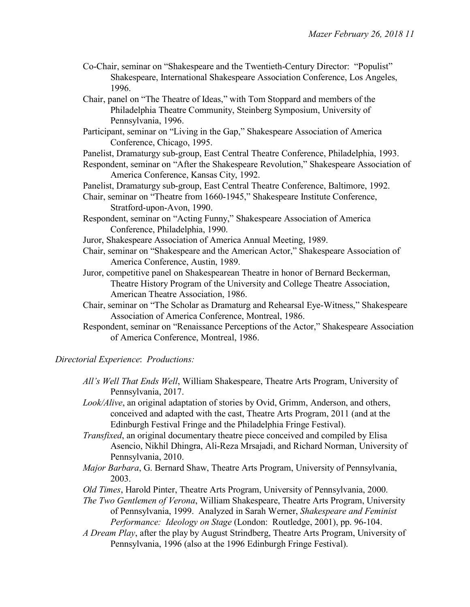- Co-Chair, seminar on "Shakespeare and the Twentieth-Century Director: "Populist" Shakespeare, International Shakespeare Association Conference, Los Angeles, 1996.
- Chair, panel on "The Theatre of Ideas," with Tom Stoppard and members of the Philadelphia Theatre Community, Steinberg Symposium, University of Pennsylvania, 1996.
- Participant, seminar on "Living in the Gap," Shakespeare Association of America Conference, Chicago, 1995.
- Panelist, Dramaturgy sub-group, East Central Theatre Conference, Philadelphia, 1993.
- Respondent, seminar on "After the Shakespeare Revolution," Shakespeare Association of America Conference, Kansas City, 1992.
- Panelist, Dramaturgy sub-group, East Central Theatre Conference, Baltimore, 1992.
- Chair, seminar on "Theatre from 1660-1945," Shakespeare Institute Conference, Stratford-upon-Avon, 1990.
- Respondent, seminar on "Acting Funny," Shakespeare Association of America Conference, Philadelphia, 1990.
- Juror, Shakespeare Association of America Annual Meeting, 1989.
- Chair, seminar on "Shakespeare and the American Actor," Shakespeare Association of America Conference, Austin, 1989.
- Juror, competitive panel on Shakespearean Theatre in honor of Bernard Beckerman, Theatre History Program of the University and College Theatre Association, American Theatre Association, 1986.
- Chair, seminar on "The Scholar as Dramaturg and Rehearsal Eye-Witness," Shakespeare Association of America Conference, Montreal, 1986.
- Respondent, seminar on "Renaissance Perceptions of the Actor," Shakespeare Association of America Conference, Montreal, 1986.

### *Directorial Experience*: *Productions:*

- *All's Well That Ends Well*, William Shakespeare, Theatre Arts Program, University of Pennsylvania, 2017.
- *Look/Alive*, an original adaptation of stories by Ovid, Grimm, Anderson, and others, conceived and adapted with the cast, Theatre Arts Program, 2011 (and at the Edinburgh Festival Fringe and the Philadelphia Fringe Festival).
- *Transfixed*, an original documentary theatre piece conceived and compiled by Elisa Asencio, Nikhil Dhingra, Ali-Reza Mrsajadi, and Richard Norman, University of Pennsylvania, 2010.
- *Major Barbara*, G. Bernard Shaw, Theatre Arts Program, University of Pennsylvania, 2003.
- *Old Times*, Harold Pinter, Theatre Arts Program, University of Pennsylvania, 2000.
- *The Two Gentlemen of Verona*, William Shakespeare, Theatre Arts Program, University of Pennsylvania, 1999. Analyzed in Sarah Werner, *Shakespeare and Feminist Performance: Ideology on Stage* (London: Routledge, 2001), pp. 96-104.
- *A Dream Play*, after the play by August Strindberg, Theatre Arts Program, University of Pennsylvania, 1996 (also at the 1996 Edinburgh Fringe Festival).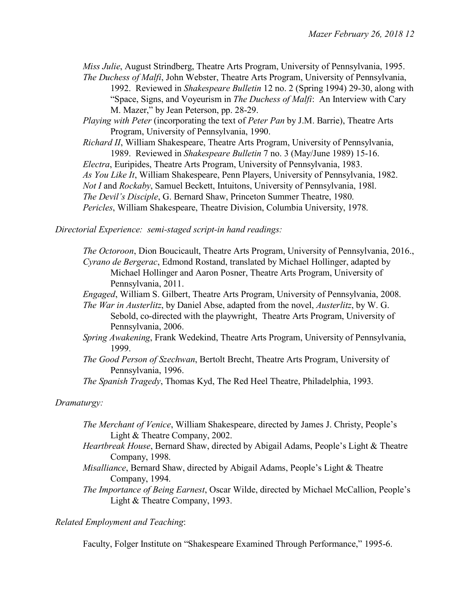*Miss Julie*, August Strindberg, Theatre Arts Program, University of Pennsylvania, 1995. *The Duchess of Malfi*, John Webster, Theatre Arts Program, University of Pennsylvania,

1992. Reviewed in *Shakespeare Bulletin* 12 no. 2 (Spring 1994) 29-30, along with "Space, Signs, and Voyeurism in *The Duchess of Malfi*: An Interview with Cary M. Mazer," by Jean Peterson, pp. 28-29.

*Playing with Peter* (incorporating the text of *Peter Pan* by J.M. Barrie), Theatre Arts Program, University of Pennsylvania, 1990.

*Richard II*, William Shakespeare, Theatre Arts Program, University of Pennsylvania, 1989. Reviewed in *Shakespeare Bulletin* 7 no. 3 (May/June 1989) 15-16. *Electra*, Euripides, Theatre Arts Program, University of Pennsylvania, 1983. *As You Like It*, William Shakespeare, Penn Players, University of Pennsylvania, 1982. *Not I* and *Rockaby*, Samuel Beckett, Intuitons, University of Pennsylvania, 198l. *The Devil's Disciple*, G. Bernard Shaw, Princeton Summer Theatre, 1980. *Pericles*, William Shakespeare, Theatre Division, Columbia University, 1978.

### *Directorial Experience: semi-staged script-in hand readings:*

*The Octoroon*, Dion Boucicault, Theatre Arts Program, University of Pennsylvania, 2016., *Cyrano de Bergerac*, Edmond Rostand, translated by Michael Hollinger, adapted by Michael Hollinger and Aaron Posner, Theatre Arts Program, University of Pennsylvania, 2011.

*Engaged*, William S. Gilbert, Theatre Arts Program, University of Pennsylvania, 2008.

*The War in Austerlitz*, by Daniel Abse, adapted from the novel, *Austerlitz*, by W. G. Sebold, co-directed with the playwright, Theatre Arts Program, University of Pennsylvania, 2006.

- *Spring Awakening*, Frank Wedekind, Theatre Arts Program, University of Pennsylvania, 1999.
- *The Good Person of Szechwan*, Bertolt Brecht, Theatre Arts Program, University of Pennsylvania, 1996.

*The Spanish Tragedy*, Thomas Kyd, The Red Heel Theatre, Philadelphia, 1993.

### *Dramaturgy:*

- *The Merchant of Venice*, William Shakespeare, directed by James J. Christy, People's Light & Theatre Company, 2002.
- *Heartbreak House*, Bernard Shaw, directed by Abigail Adams, People's Light & Theatre Company, 1998.
- *Misalliance*, Bernard Shaw, directed by Abigail Adams, People's Light & Theatre Company, 1994.

*The Importance of Being Earnest*, Oscar Wilde, directed by Michael McCallion, People's Light & Theatre Company, 1993.

#### *Related Employment and Teaching*:

Faculty, Folger Institute on "Shakespeare Examined Through Performance," 1995-6.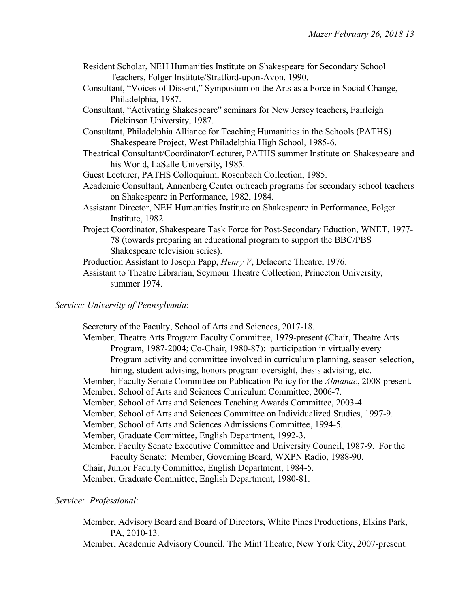- Resident Scholar, NEH Humanities Institute on Shakespeare for Secondary School Teachers, Folger Institute/Stratford-upon-Avon, 1990.
- Consultant, "Voices of Dissent," Symposium on the Arts as a Force in Social Change, Philadelphia, 1987.
- Consultant, "Activating Shakespeare" seminars for New Jersey teachers, Fairleigh Dickinson University, 1987.

Consultant, Philadelphia Alliance for Teaching Humanities in the Schools (PATHS) Shakespeare Project, West Philadelphia High School, 1985-6.

- Theatrical Consultant/Coordinator/Lecturer, PATHS summer Institute on Shakespeare and his World, LaSalle University, 1985.
- Guest Lecturer, PATHS Colloquium, Rosenbach Collection, 1985.
- Academic Consultant, Annenberg Center outreach programs for secondary school teachers on Shakespeare in Performance, 1982, 1984.
- Assistant Director, NEH Humanities Institute on Shakespeare in Performance, Folger Institute, 1982.
- Project Coordinator, Shakespeare Task Force for Post-Secondary Eduction, WNET, 1977- 78 (towards preparing an educational program to support the BBC/PBS Shakespeare television series).

Production Assistant to Joseph Papp, *Henry V*, Delacorte Theatre, 1976.

Assistant to Theatre Librarian, Seymour Theatre Collection, Princeton University, summer 1974.

# *Service: University of Pennsylvania*:

Secretary of the Faculty, School of Arts and Sciences, 2017-18. Member, Theatre Arts Program Faculty Committee, 1979-present (Chair, Theatre Arts

Program, 1987-2004; Co-Chair, 1980-87): participation in virtually every Program activity and committee involved in curriculum planning, season selection, hiring, student advising, honors program oversight, thesis advising, etc.

- Member, Faculty Senate Committee on Publication Policy for the *Almanac*, 2008-present.
- Member, School of Arts and Sciences Curriculum Committee, 2006-7.
- Member, School of Arts and Sciences Teaching Awards Committee, 2003-4.
- Member, School of Arts and Sciences Committee on Individualized Studies, 1997-9.
- Member, School of Arts and Sciences Admissions Committee, 1994-5.

Member, Graduate Committee, English Department, 1992-3.

- Member, Faculty Senate Executive Committee and University Council, 1987-9. For the Faculty Senate: Member, Governing Board, WXPN Radio, 1988-90.
- Chair, Junior Faculty Committee, English Department, 1984-5.

Member, Graduate Committee, English Department, 1980-81.

# *Service: Professional*:

Member, Advisory Board and Board of Directors, White Pines Productions, Elkins Park, PA, 2010-13.

Member, Academic Advisory Council, The Mint Theatre, New York City, 2007-present.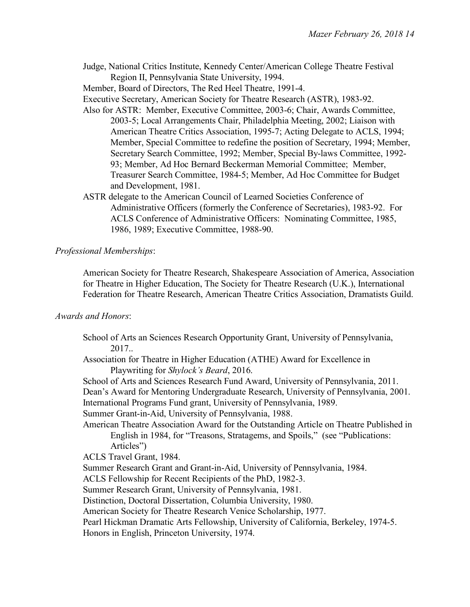Judge, National Critics Institute, Kennedy Center/American College Theatre Festival Region II, Pennsylvania State University, 1994.

Member, Board of Directors, The Red Heel Theatre, 1991-4.

- Executive Secretary, American Society for Theatre Research (ASTR), 1983-92.
- Also for ASTR: Member, Executive Committee, 2003-6; Chair, Awards Committee, 2003-5; Local Arrangements Chair, Philadelphia Meeting, 2002; Liaison with American Theatre Critics Association, 1995-7; Acting Delegate to ACLS, 1994; Member, Special Committee to redefine the position of Secretary, 1994; Member, Secretary Search Committee, 1992; Member, Special By-laws Committee, 1992- 93; Member, Ad Hoc Bernard Beckerman Memorial Committee; Member, Treasurer Search Committee, 1984-5; Member, Ad Hoc Committee for Budget and Development, 1981.
- ASTR delegate to the American Council of Learned Societies Conference of Administrative Officers (formerly the Conference of Secretaries), 1983-92. For ACLS Conference of Administrative Officers: Nominating Committee, 1985, 1986, 1989; Executive Committee, 1988-90.

### *Professional Memberships*:

American Society for Theatre Research, Shakespeare Association of America, Association for Theatre in Higher Education, The Society for Theatre Research (U.K.), International Federation for Theatre Research, American Theatre Critics Association, Dramatists Guild.

### *Awards and Honors*:

School of Arts an Sciences Research Opportunity Grant, University of Pennsylvania, 2017.. Association for Theatre in Higher Education (ATHE) Award for Excellence in Playwriting for *Shylock's Beard*, 2016. School of Arts and Sciences Research Fund Award, University of Pennsylvania, 2011. Dean's Award for Mentoring Undergraduate Research, University of Pennsylvania, 2001. International Programs Fund grant, University of Pennsylvania, 1989. Summer Grant-in-Aid, University of Pennsylvania, 1988. American Theatre Association Award for the Outstanding Article on Theatre Published in English in 1984, for "Treasons, Stratagems, and Spoils," (see "Publications: Articles") ACLS Travel Grant, 1984. Summer Research Grant and Grant-in-Aid, University of Pennsylvania, 1984. ACLS Fellowship for Recent Recipients of the PhD, 1982-3. Summer Research Grant, University of Pennsylvania, 1981. Distinction, Doctoral Dissertation, Columbia University, 1980. American Society for Theatre Research Venice Scholarship, 1977. Pearl Hickman Dramatic Arts Fellowship, University of California, Berkeley, 1974-5. Honors in English, Princeton University, 1974.